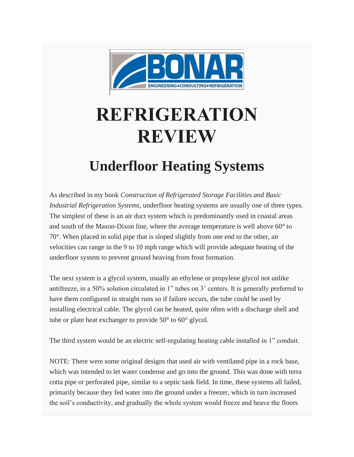

## **REFRIGERATION REVIEW**

## **Underfloor Heating Systems**

As described in my book *Construction of Refrigerated Storage Facilities and Basic Industrial Refrigeration Systems*, underfloor heating systems are usually one of three types. The simplest of these is an air duct system which is predominantly used in coastal areas and south of the Mason-Dixon line, where the average temperature is well above 60° to 70°. When placed in solid pipe that is sloped slightly from one end to the other, air velocities can range in the 9 to 10 mph range which will provide adequate heating of the underfloor system to prevent ground heaving from frost formation.

The next system is a glycol system, usually an ethylene or propylene glycol not unlike antifreeze, in a 50% solution circulated in 1" tubes on 3' centers. It is generally preferred to have them configured in straight runs so if failure occurs, the tube could be used by installing electrical cable. The glycol can be heated, quite often with a discharge shell and tube or plate heat exchanger to provide 50° to 60° glycol.

The third system would be an electric self-regulating heating cable installed in 1" conduit.

NOTE: There were some original designs that used air with ventilated pipe in a rock base, which was intended to let water condense and go into the ground. This was done with terra cotta pipe or perforated pipe, similar to a septic tank field. In time, these systems all failed, primarily because they fed water into the ground under a freezer, which in turn increased the soil's conductivity, and gradually the whole system would freeze and heave the floors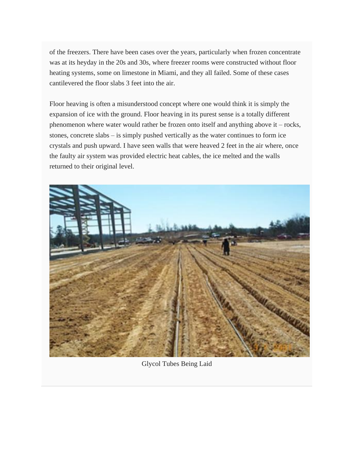of the freezers. There have been cases over the years, particularly when frozen concentrate was at its heyday in the 20s and 30s, where freezer rooms were constructed without floor heating systems, some on limestone in Miami, and they all failed. Some of these cases cantilevered the floor slabs 3 feet into the air.

Floor heaving is often a misunderstood concept where one would think it is simply the expansion of ice with the ground. Floor heaving in its purest sense is a totally different phenomenon where water would rather be frozen onto itself and anything above it – rocks, stones, concrete slabs – is simply pushed vertically as the water continues to form ice crystals and push upward. I have seen walls that were heaved 2 feet in the air where, once the faulty air system was provided electric heat cables, the ice melted and the walls returned to their original level.



Glycol Tubes Being Laid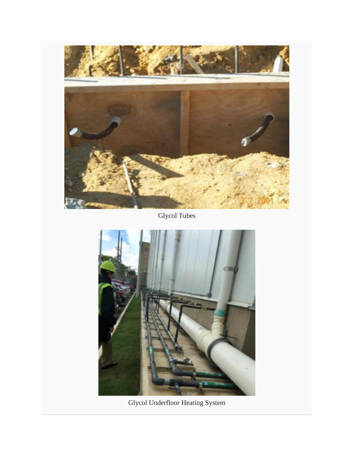

Glycol Tubes



Glycol Underfloor Heating System